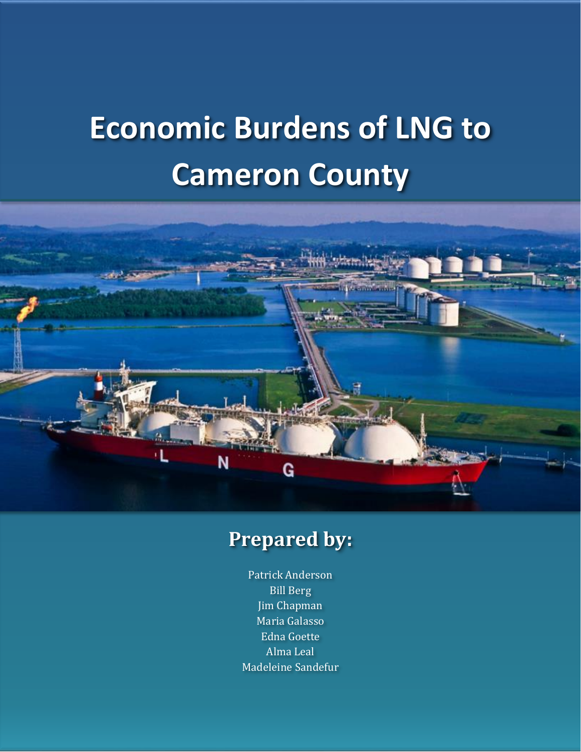# **Economic Burdens of LNG to Cameron County**



# **Prepared by:**

Patrick Anderson Bill Berg Jim Chapman Maria Galasso Edna Goette Alma Leal Madeleine Sandefur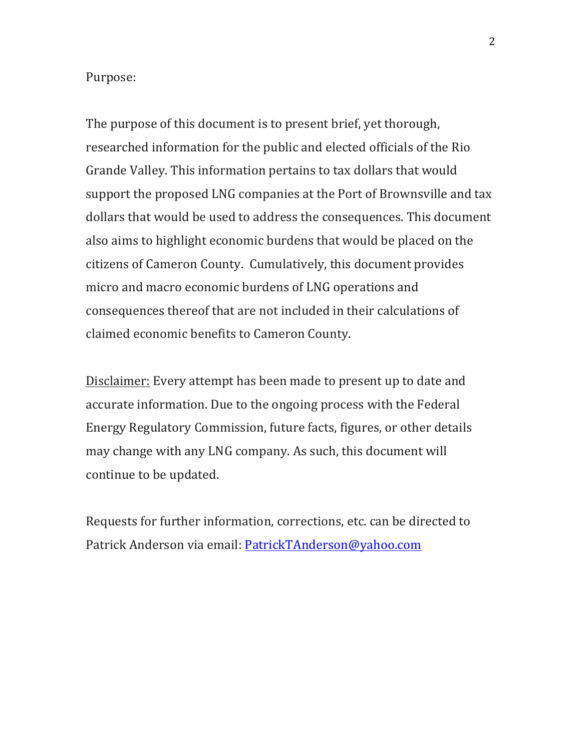#### Purpose:

The purpose of this document is to present brief, yet thorough, researched information for the public and elected officials of the Rio Grande Valley. This information pertains to tax dollars that would support the proposed LNG companies at the Port of Brownsville and tax dollars that would be used to address the consequences. This document also aims to highlight economic burdens that would be placed on the citizens of Cameron County. Cumulatively, this document provides micro and macro economic burdens of LNG operations and consequences thereof that are not included in their calculations of claimed economic benefits to Cameron County.

Disclaimer: Every attempt has been made to present up to date and accurate information. Due to the ongoing process with the Federal Energy Regulatory Commission, future facts, figures, or other details may change with any LNG company. As such, this document will continue to be updated.

Requests for further information, corrections, etc. can be directed to Patrick Anderson via email: PatrickTAnderson@yahoo.com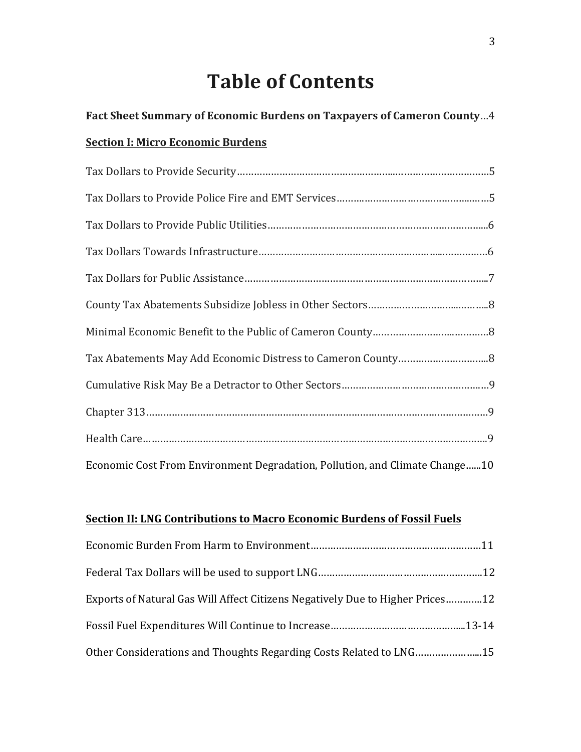# **Table of Contents**

Fact Sheet Summary of Economic Burdens on Taxpayers of Cameron County...4

| <b>Section I: Micro Economic Burdens</b>                                    |
|-----------------------------------------------------------------------------|
|                                                                             |
|                                                                             |
|                                                                             |
|                                                                             |
|                                                                             |
|                                                                             |
|                                                                             |
|                                                                             |
|                                                                             |
|                                                                             |
|                                                                             |
| Economic Cost From Environment Degradation, Pollution, and Climate Change10 |

#### **<u>Section II: LNG Contributions to Macro Economic Burdens of Fossil Fuels</u>**

| Exports of Natural Gas Will Affect Citizens Negatively Due to Higher Prices12 |  |
|-------------------------------------------------------------------------------|--|
|                                                                               |  |
| Other Considerations and Thoughts Regarding Costs Related to LNG15            |  |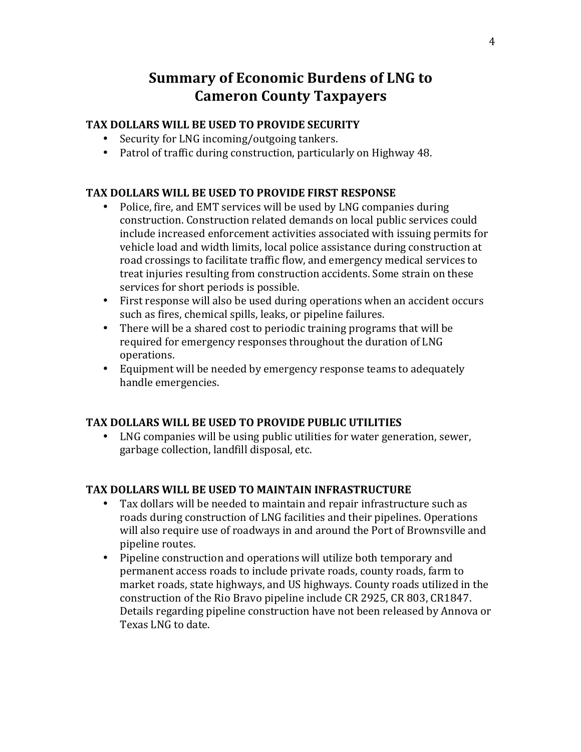### **Summary of Economic Burdens of LNG to Cameron County Taxpayers**

#### **TAX DOLLARS WILL BE USED TO PROVIDE SECURITY**

- Security for LNG incoming/outgoing tankers.
- Patrol of traffic during construction, particularly on Highway 48.

#### **TAX DOLLARS WILL BE USED TO PROVIDE FIRST RESPONSE**

- Police, fire, and EMT services will be used by LNG companies during construction. Construction related demands on local public services could include increased enforcement activities associated with issuing permits for vehicle load and width limits, local police assistance during construction at road crossings to facilitate traffic flow, and emergency medical services to treat injuries resulting from construction accidents. Some strain on these services for short periods is possible.
- First response will also be used during operations when an accident occurs such as fires, chemical spills, leaks, or pipeline failures.
- There will be a shared cost to periodic training programs that will be required for emergency responses throughout the duration of LNG operations.
- Equipment will be needed by emergency response teams to adequately handle emergencies.

#### TAX DOLLARS WILL BE USED TO PROVIDE PUBLIC UTILITIES

LNG companies will be using public utilities for water generation, sewer, garbage collection, landfill disposal, etc.

#### **TAX DOLLARS WILL BE USED TO MAINTAIN INFRASTRUCTURE**

- Tax dollars will be needed to maintain and repair infrastructure such as roads during construction of LNG facilities and their pipelines. Operations will also require use of roadways in and around the Port of Brownsville and pipeline routes.
- Pipeline construction and operations will utilize both temporary and permanent access roads to include private roads, county roads, farm to market roads, state highways, and US highways. County roads utilized in the construction of the Rio Bravo pipeline include CR 2925, CR 803, CR1847. Details regarding pipeline construction have not been released by Annova or Texas LNG to date.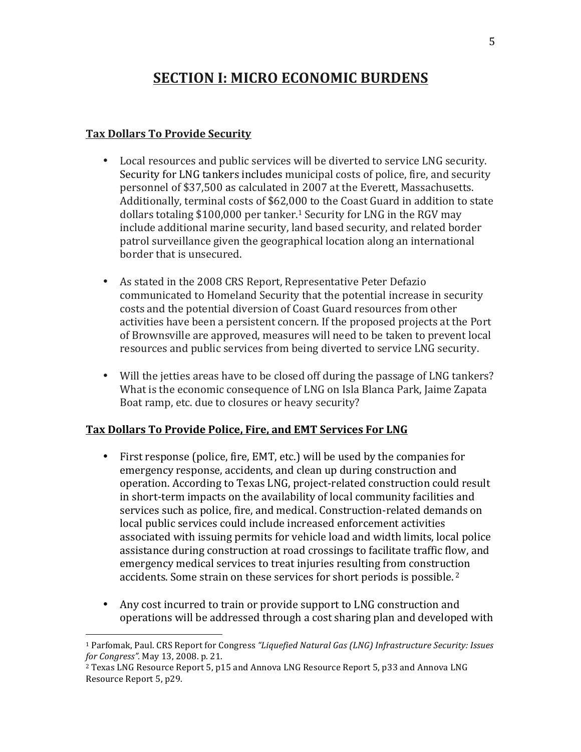### **SECTION I: MICRO ECONOMIC BURDENS**

#### **Tax Dollars To Provide Security**

 

- Local resources and public services will be diverted to service LNG security. Security for LNG tankers includes municipal costs of police, fire, and security personnel of \$37,500 as calculated in 2007 at the Everett, Massachusetts. Additionally, terminal costs of \$62,000 to the Coast Guard in addition to state dollars totaling \$100,000 per tanker.<sup>1</sup> Security for LNG in the RGV may include additional marine security, land based security, and related border patrol surveillance given the geographical location along an international border that is unsecured.
- As stated in the 2008 CRS Report, Representative Peter Defazio communicated to Homeland Security that the potential increase in security costs and the potential diversion of Coast Guard resources from other activities have been a persistent concern. If the proposed projects at the Port of Brownsville are approved, measures will need to be taken to prevent local resources and public services from being diverted to service LNG security.
- Will the jetties areas have to be closed off during the passage of LNG tankers? What is the economic consequence of LNG on Isla Blanca Park, Jaime Zapata Boat ramp, etc. due to closures or heavy security?

#### Tax Dollars To Provide Police, Fire, and EMT Services For LNG

- First response (police, fire, EMT, etc.) will be used by the companies for emergency response, accidents, and clean up during construction and operation. According to Texas LNG, project-related construction could result in short-term impacts on the availability of local community facilities and services such as police, fire, and medical. Construction-related demands on local public services could include increased enforcement activities associated with issuing permits for vehicle load and width limits, local police assistance during construction at road crossings to facilitate traffic flow, and emergency medical services to treat injuries resulting from construction accidents. Some strain on these services for short periods is possible.<sup>2</sup>
- Any cost incurred to train or provide support to LNG construction and operations will be addressed through a cost sharing plan and developed with

<sup>&</sup>lt;sup>1</sup> Parfomak, Paul. CRS Report for Congress "Liquefied Natural Gas (LNG) Infrastructure Security: Issues *for Congress".* May 13, 2008. p. 21.

 $2$  Texas LNG Resource Report 5, p15 and Annova LNG Resource Report 5, p33 and Annova LNG Resource Report 5, p29.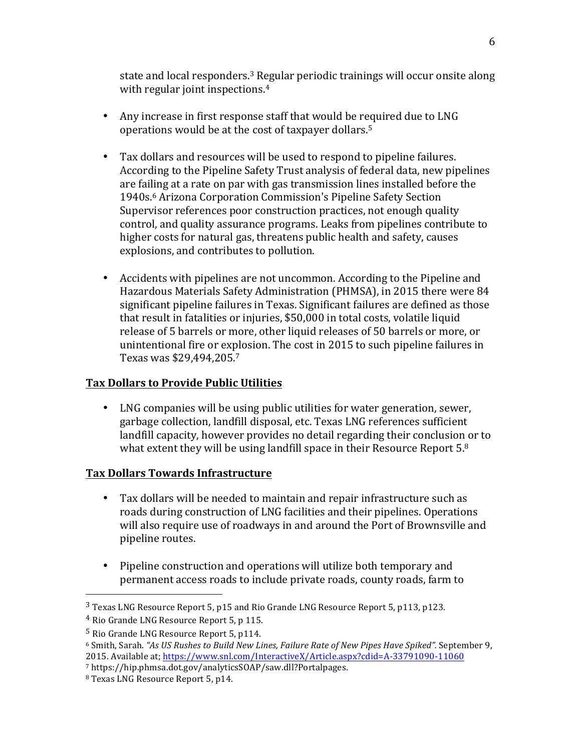state and local responders.<sup>3</sup> Regular periodic trainings will occur onsite along with regular joint inspections.<sup>4</sup>

- Any increase in first response staff that would be required due to LNG operations would be at the cost of taxpayer dollars.<sup>5</sup>
- Tax dollars and resources will be used to respond to pipeline failures. According to the Pipeline Safety Trust analysis of federal data, new pipelines are failing at a rate on par with gas transmission lines installed before the 1940s.<sup>6</sup> Arizona Corporation Commission's Pipeline Safety Section Supervisor references poor construction practices, not enough quality control, and quality assurance programs. Leaks from pipelines contribute to higher costs for natural gas, threatens public health and safety, causes explosions, and contributes to pollution.
- Accidents with pipelines are not uncommon. According to the Pipeline and Hazardous Materials Safety Administration (PHMSA), in 2015 there were 84 significant pipeline failures in Texas. Significant failures are defined as those that result in fatalities or injuries, \$50,000 in total costs, volatile liquid release of 5 barrels or more, other liquid releases of 50 barrels or more, or unintentional fire or explosion. The cost in 2015 to such pipeline failures in Texas was \$29,494,205.<sup>7</sup>

#### **Tax Dollars to Provide Public Utilities**

• LNG companies will be using public utilities for water generation, sewer, garbage collection, landfill disposal, etc. Texas LNG references sufficient landfill capacity, however provides no detail regarding their conclusion or to what extent they will be using landfill space in their Resource Report  $5.8$ 

#### **Tax Dollars Towards Infrastructure**

- Tax dollars will be needed to maintain and repair infrastructure such as roads during construction of LNG facilities and their pipelines. Operations will also require use of roadways in and around the Port of Brownsville and pipeline routes.
- Pipeline construction and operations will utilize both temporary and permanent access roads to include private roads, county roads, farm to

 $3$  Texas LNG Resource Report 5, p15 and Rio Grande LNG Resource Report 5, p113, p123.

<sup>&</sup>lt;sup>4</sup> Rio Grande LNG Resource Report 5, p 115.

 $5$  Rio Grande LNG Resource Report  $5$ , p114.

<sup>&</sup>lt;sup>6</sup> Smith, Sarah. "As US Rushes to Build New Lines, Failure Rate of New Pipes Have Spiked". September 9, 2015. Available at; https://www.snl.com/InteractiveX/Article.aspx?cdid=A-33791090-11060

<sup>7</sup> https://hip.phmsa.dot.gov/analyticsSOAP/saw.dll?Portalpages.

<sup>&</sup>lt;sup>8</sup> Texas LNG Resource Report 5, p14.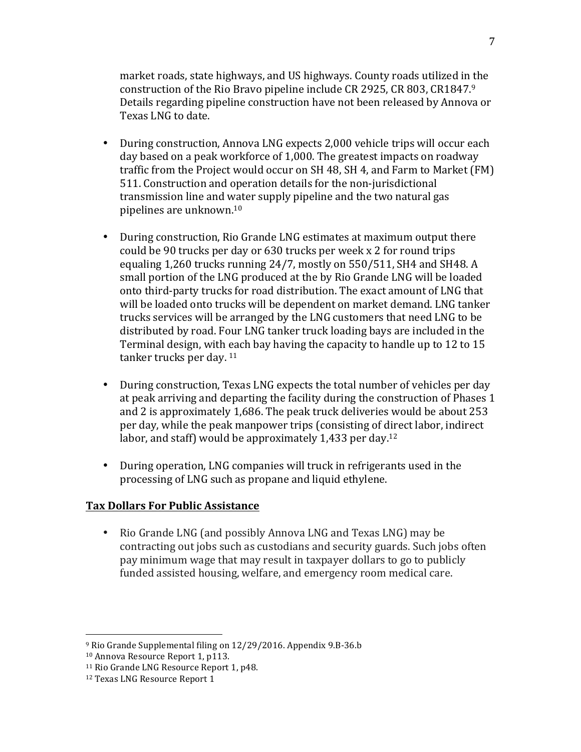market roads, state highways, and US highways. County roads utilized in the construction of the Rio Bravo pipeline include CR 2925, CR 803, CR1847.9 Details regarding pipeline construction have not been released by Annova or Texas LNG to date.

- During construction, Annova LNG expects 2,000 vehicle trips will occur each day based on a peak workforce of 1,000. The greatest impacts on roadway traffic from the Project would occur on  $SH$  48,  $SH$  4, and Farm to Market  $(FM)$ 511. Construction and operation details for the non-jurisdictional transmission line and water supply pipeline and the two natural gas pipelines are unknown. $^{10}$
- During construction, Rio Grande LNG estimates at maximum output there could be 90 trucks per day or 630 trucks per week x 2 for round trips equaling  $1,260$  trucks running  $24/7$ , mostly on  $550/511$ , SH4 and SH48. A small portion of the LNG produced at the by Rio Grande LNG will be loaded onto third-party trucks for road distribution. The exact amount of LNG that will be loaded onto trucks will be dependent on market demand. LNG tanker trucks services will be arranged by the LNG customers that need LNG to be distributed by road. Four LNG tanker truck loading bays are included in the Terminal design, with each bay having the capacity to handle up to 12 to 15 tanker trucks per day.  $11$
- During construction, Texas LNG expects the total number of vehicles per day at peak arriving and departing the facility during the construction of Phases 1 and 2 is approximately  $1,686$ . The peak truck deliveries would be about  $253$ per day, while the peak manpower trips (consisting of direct labor, indirect labor, and staff) would be approximately 1,433 per day.<sup>12</sup>
- During operation, LNG companies will truck in refrigerants used in the processing of LNG such as propane and liquid ethylene.

#### **Tax Dollars For Public Assistance**

• Rio Grande LNG (and possibly Annova LNG and Texas LNG) may be contracting out jobs such as custodians and security guards. Such jobs often pay minimum wage that may result in taxpayer dollars to go to publicly funded assisted housing, welfare, and emergency room medical care.

<sup>&</sup>lt;sup>9</sup> Rio Grande Supplemental filing on 12/29/2016. Appendix 9.B-36.b

<sup>&</sup>lt;sup>10</sup> Annova Resource Report 1, p113.

<sup>&</sup>lt;sup>11</sup> Rio Grande LNG Resource Report 1, p48.

<sup>&</sup>lt;sup>12</sup> Texas LNG Resource Report 1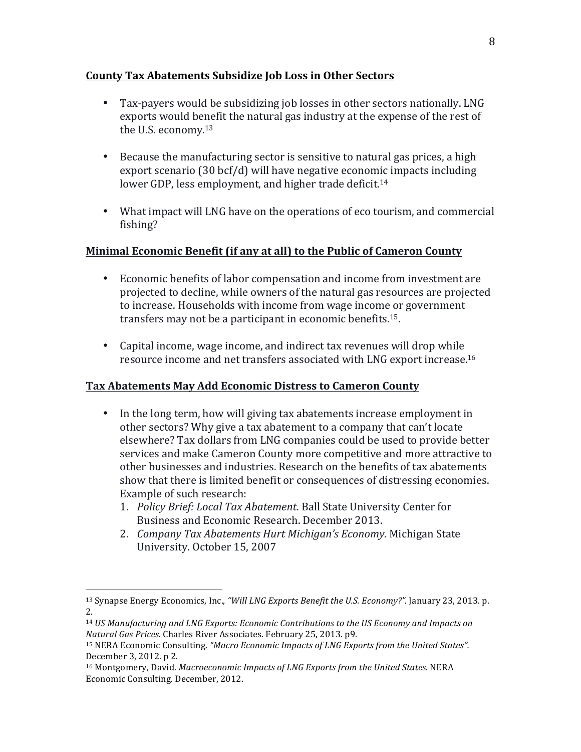#### **County Tax Abatements Subsidize Job Loss in Other Sectors**

- Tax-payers would be subsidizing job losses in other sectors nationally. LNG exports would benefit the natural gas industry at the expense of the rest of the U.S. economy. $13$
- Because the manufacturing sector is sensitive to natural gas prices, a high export scenario  $(30 \text{ bcf/d})$  will have negative economic impacts including lower GDP, less employment, and higher trade deficit.<sup>14</sup>
- What impact will LNG have on the operations of eco tourism, and commercial fishing?

#### **Minimal Economic Benefit (if any at all) to the Public of Cameron County**

- Economic benefits of labor compensation and income from investment are projected to decline, while owners of the natural gas resources are projected to increase. Households with income from wage income or government transfers may not be a participant in economic benefits.<sup>15</sup>.
- Capital income, wage income, and indirect tax revenues will drop while resource income and net transfers associated with LNG export increase.<sup>16</sup>

#### Tax Abatements May Add Economic Distress to Cameron County

- In the long term, how will giving tax abatements increase employment in other sectors? Why give a tax abatement to a company that can't locate elsewhere? Tax dollars from LNG companies could be used to provide better services and make Cameron County more competitive and more attractive to other businesses and industries. Research on the benefits of tax abatements show that there is limited benefit or consequences of distressing economies. Example of such research:
	- 1. *Policy Brief: Local Tax Abatement*. Ball State University Center for Business and Economic Research. December 2013.
	- 2. *Company Tax Abatements Hurt Michigan's Economy*. Michigan State University. October 15, 2007

<sup>&</sup>lt;sup>13</sup> Synapse Energy Economics, Inc., "Will LNG Exports Benefit the U.S. Economy?". January 23, 2013. p. 2.

<sup>&</sup>lt;sup>14</sup> *US Manufacturing and LNG Exports: Economic Contributions to the US Economy and Impacts on Natural Gas Prices.* Charles River Associates. February 25, 2013. p9.

<sup>&</sup>lt;sup>15</sup> NERA Economic Consulting. "Macro Economic Impacts of LNG Exports from the United States". December 3, 2012. p 2.

<sup>&</sup>lt;sup>16</sup> Montgomery, David. *Macroeconomic Impacts of LNG Exports from the United States.* NERA Economic Consulting. December, 2012.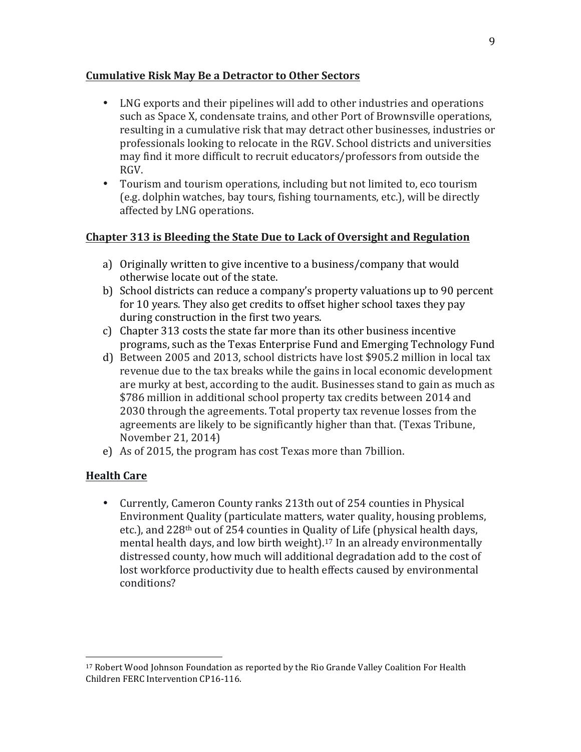#### **Cumulative Risk May Be a Detractor to Other Sectors**

- LNG exports and their pipelines will add to other industries and operations such as Space X, condensate trains, and other Port of Brownsville operations, resulting in a cumulative risk that may detract other businesses, industries or professionals looking to relocate in the RGV. School districts and universities may find it more difficult to recruit educators/professors from outside the RGV.
- Tourism and tourism operations, including but not limited to, eco tourism (e.g. dolphin watches, bay tours, fishing tournaments, etc.), will be directly affected by LNG operations.

#### **Chapter 313 is Bleeding the State Due to Lack of Oversight and Regulation**

- a) Originally written to give incentive to a business/company that would otherwise locate out of the state.
- b) School districts can reduce a company's property valuations up to 90 percent for 10 years. They also get credits to offset higher school taxes they pay during construction in the first two years.
- c) Chapter 313 costs the state far more than its other business incentive programs, such as the Texas Enterprise Fund and Emerging Technology Fund
- d) Between 2005 and 2013, school districts have lost \$905.2 million in local tax revenue due to the tax breaks while the gains in local economic development are murky at best, according to the audit. Businesses stand to gain as much as \$786 million in additional school property tax credits between 2014 and 2030 through the agreements. Total property tax revenue losses from the agreements are likely to be significantly higher than that. (Texas Tribune, November 21, 2014)
- e) As of 2015, the program has cost Texas more than 7 billion.

#### **Health Care**

 

• Currently, Cameron County ranks 213th out of 254 counties in Physical Environment Quality (particulate matters, water quality, housing problems, etc.), and  $228<sup>th</sup>$  out of 254 counties in Quality of Life (physical health days, mental health days, and low birth weight).<sup>17</sup> In an already environmentally distressed county, how much will additional degradation add to the cost of lost workforce productivity due to health effects caused by environmental conditions?

 $17$  Robert Wood Johnson Foundation as reported by the Rio Grande Valley Coalition For Health Children FERC Intervention CP16-116.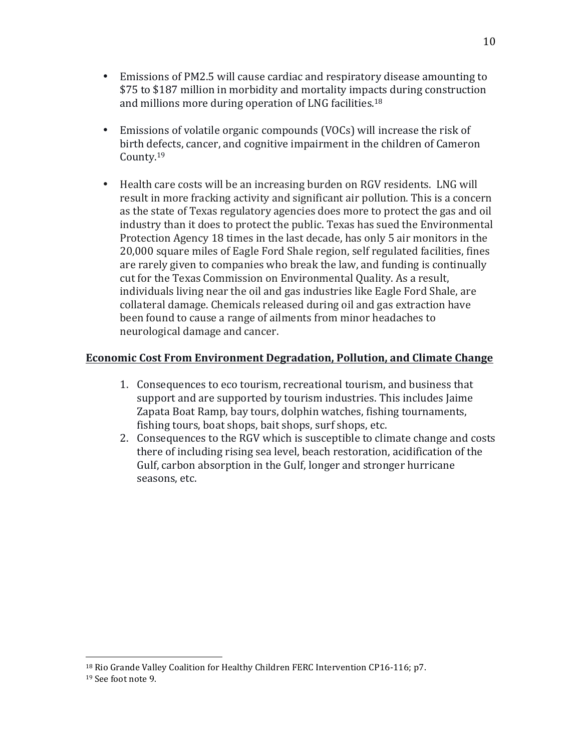- Emissions of PM2.5 will cause cardiac and respiratory disease amounting to \$75 to \$187 million in morbidity and mortality impacts during construction and millions more during operation of LNG facilities.<sup>18</sup>
- Emissions of volatile organic compounds (VOCs) will increase the risk of birth defects, cancer, and cognitive impairment in the children of Cameron County.19
- Health care costs will be an increasing burden on RGV residents. LNG will result in more fracking activity and significant air pollution. This is a concern as the state of Texas regulatory agencies does more to protect the gas and oil industry than it does to protect the public. Texas has sued the Environmental Protection Agency 18 times in the last decade, has only 5 air monitors in the 20,000 square miles of Eagle Ford Shale region, self regulated facilities, fines are rarely given to companies who break the law, and funding is continually cut for the Texas Commission on Environmental Quality. As a result, individuals living near the oil and gas industries like Eagle Ford Shale, are collateral damage. Chemicals released during oil and gas extraction have been found to cause a range of ailments from minor headaches to neurological damage and cancer.

#### **Economic Cost From Environment Degradation, Pollution, and Climate Change**

- 1. Consequences to eco tourism, recreational tourism, and business that support and are supported by tourism industries. This includes Jaime Zapata Boat Ramp, bay tours, dolphin watches, fishing tournaments, fishing tours, boat shops, bait shops, surf shops, etc.
- 2. Consequences to the RGV which is susceptible to climate change and costs there of including rising sea level, beach restoration, acidification of the Gulf, carbon absorption in the Gulf, longer and stronger hurricane seasons, etc.

<sup>&</sup>lt;sup>18</sup> Rio Grande Valley Coalition for Healthy Children FERC Intervention CP16-116; p7. <sup>19</sup> See foot note 9.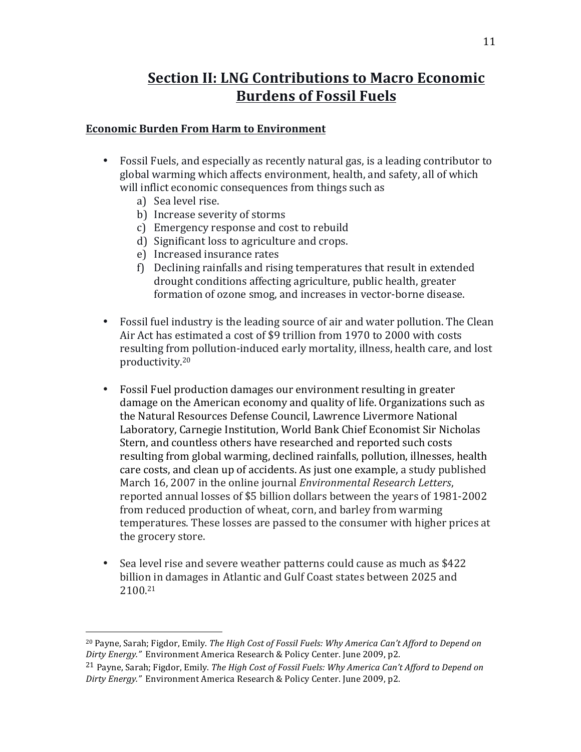## **Section II: LNG Contributions to Macro Economic Burdens of Fossil Fuels**

#### **Economic Burden From Harm to Environment**

- Fossil Fuels, and especially as recently natural gas, is a leading contributor to global warming which affects environment, health, and safety, all of which will inflict economic consequences from things such as
	- a) Sea level rise.

- b) Increase severity of storms
- c) Emergency response and cost to rebuild
- d) Significant loss to agriculture and crops.
- e) Increased insurance rates
- f) Declining rainfalls and rising temperatures that result in extended drought conditions affecting agriculture, public health, greater formation of ozone smog, and increases in vector-borne disease.
- Fossil fuel industry is the leading source of air and water pollution. The Clean Air Act has estimated a cost of \$9 trillion from 1970 to 2000 with costs resulting from pollution-induced early mortality, illness, health care, and lost productivity.20
- Fossil Fuel production damages our environment resulting in greater damage on the American economy and quality of life. Organizations such as the Natural Resources Defense Council, Lawrence Livermore National Laboratory, Carnegie Institution, World Bank Chief Economist Sir Nicholas Stern, and countless others have researched and reported such costs resulting from global warming, declined rainfalls, pollution, illnesses, health care costs, and clean up of accidents. As just one example, a study published March 16, 2007 in the online journal *Environmental Research Letters*, reported annual losses of \$5 billion dollars between the years of 1981-2002 from reduced production of wheat, corn, and barley from warming temperatures. These losses are passed to the consumer with higher prices at the grocery store.
- Sea level rise and severe weather patterns could cause as much as \$422 billion in damages in Atlantic and Gulf Coast states between 2025 and 2100. 21

<sup>&</sup>lt;sup>20</sup> Payne, Sarah; Figdor, Emily. The High Cost of Fossil Fuels: Why America Can't Afford to Depend on *Dirty Energy."* Environment America Research & Policy Center. June 2009, p2.

<sup>&</sup>lt;sup>21</sup> Payne, Sarah; Figdor, Emily. *The High Cost of Fossil Fuels: Why America Can't Afford to Depend on Dirty Energy."* Environment America Research & Policy Center. June 2009, p2.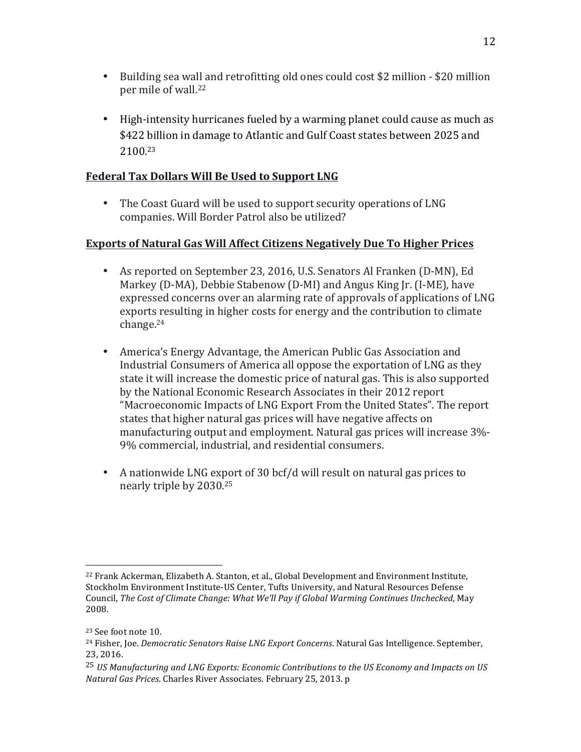- Building sea wall and retrofitting old ones could cost \$2 million \$20 million per mile of wall.<sup>22</sup>
- High-intensity hurricanes fueled by a warming planet could cause as much as \$422 billion in damage to Atlantic and Gulf Coast states between 2025 and 2100.23

#### **Federal Tax Dollars Will Be Used to Support LNG**

• The Coast Guard will be used to support security operations of LNG companies. Will Border Patrol also be utilized?

#### **Exports of Natural Gas Will Affect Citizens Negatively Due To Higher Prices**

- As reported on September 23, 2016, U.S. Senators Al Franken (D-MN), Ed Markey (D-MA), Debbie Stabenow (D-MI) and Angus King Jr. (I-ME), have expressed concerns over an alarming rate of approvals of applications of LNG exports resulting in higher costs for energy and the contribution to climate change.24
- America's Energy Advantage, the American Public Gas Association and Industrial Consumers of America all oppose the exportation of LNG as they state it will increase the domestic price of natural gas. This is also supported by the National Economic Research Associates in their 2012 report "Macroeconomic Impacts of LNG Export From the United States". The report states that higher natural gas prices will have negative affects on manufacturing output and employment. Natural gas prices will increase  $3\%$ -9% commercial, industrial, and residential consumers.
- A nationwide LNG export of 30 bcf/d will result on natural gas prices to nearly triple by 2030.<sup>25</sup>

  $22$  Frank Ackerman, Elizabeth A. Stanton, et al., Global Development and Environment Institute, Stockholm Environment Institute-US Center, Tufts University, and Natural Resources Defense Council, *The Cost of Climate Change: What We'll Pay if Global Warming Continues Unchecked*, May 2008.

<sup>&</sup>lt;sup>23</sup> See foot note 10.

<sup>&</sup>lt;sup>24</sup> Fisher, Joe. *Democratic Senators Raise LNG Export Concerns*. Natural Gas Intelligence. September, 23, 2016.

<sup>&</sup>lt;sup>25</sup> *US Manufacturing and LNG Exports: Economic Contributions to the US Economy and Impacts on US Natural Gas Prices*. Charles River Associates. February 25, 2013. p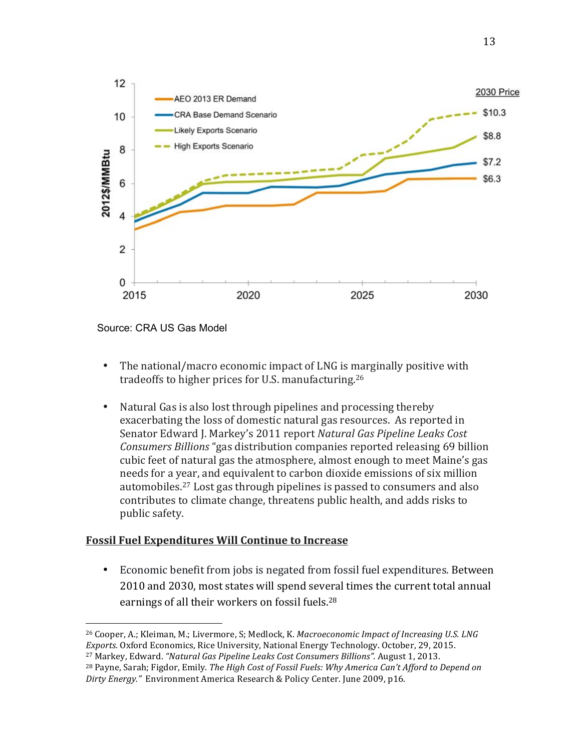

Source: CRA US Gas Model

 

- The national/macro economic impact of LNG is marginally positive with tradeoffs to higher prices for U.S. manufacturing.<sup>26</sup>
- Natural Gas is also lost through pipelines and processing thereby exacerbating the loss of domestic natural gas resources. As reported in Senator Edward J. Markey's 2011 report Natural Gas Pipeline Leaks Cost *Consumers Billions* "gas distribution companies reported releasing 69 billion cubic feet of natural gas the atmosphere, almost enough to meet Maine's gas needs for a year, and equivalent to carbon dioxide emissions of six million automobiles.<sup>27</sup> Lost gas through pipelines is passed to consumers and also contributes to climate change, threatens public health, and adds risks to public safety. The intervals of the intervals of the intervals of the intervals of the intervals of the intervals of the intervals of the intervals of the intervals of the intervals of the intervals of the intervals of the

#### **Fossil Fuel Expenditures Will Continue to Increase**

• Economic benefit from jobs is negated from fossil fuel expenditures. Between 2010 and 2030, most states will spend several times the current total annual earnings of all their workers on fossil fuels.<sup>28</sup>

<sup>&</sup>lt;sup>26</sup> Cooper, A.; Kleiman, M.; Livermore, S; Medlock, K. *Macroeconomic Impact of Increasing U.S. LNG Exports.* Oxford Economics, Rice University, National Energy Technology. October, 29, 2015. **And Exports.** Oxford Economics, Rice University, National Energy Technology. October, 29, 2015.

<sup>&</sup>lt;sup>27</sup> Markey, Edward. "Natural Gas Pipeline Leaks Cost Consumers Billions". August 1, 2013.

<sup>&</sup>lt;sup>28</sup> Payne, Sarah; Figdor, Emily. *The High Cost of Fossil Fuels: Why America Can't Afford to Depend on*<br>Did also showed that the investment in the investment in the investment in 2000, and the investment in manufactu Dirty Energy." Environment America Research & Policy Center. June 2009, p16. for a given level of natural gas demand is significantly higher than the investment required to investment required to  $\mathcal{L}_1$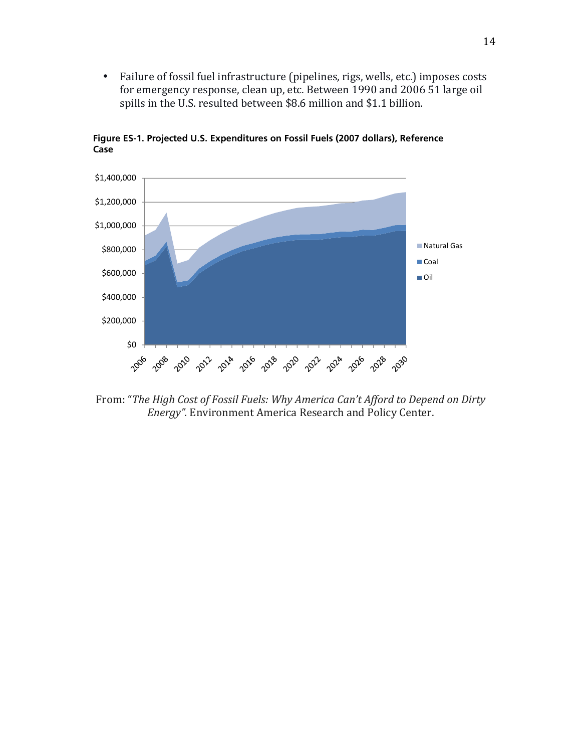• Failure of fossil fuel infrastructure (pipelines, rigs, wells, etc.) imposes costs fundre of fossil fact immused acture (pipermes, rigs), weils, etc. *j* imposes costs<br>for emergency response, clean up, etc. Between 1990 and 2006 51 large oil spills in the U.S. resulted between \$8.6 million and \$1.1 billion. ed. UI cance  $P_{\text{eff}}$  princes, i.g., weils, etc., imposed  $\epsilon = 203$  and  $\epsilon = 2030$ 



**Case**

From: "The High Cost of Fossil Fuels: Why America Can't Afford to Depend on Dirty *Energy".* Environment America Research and Policy Center.